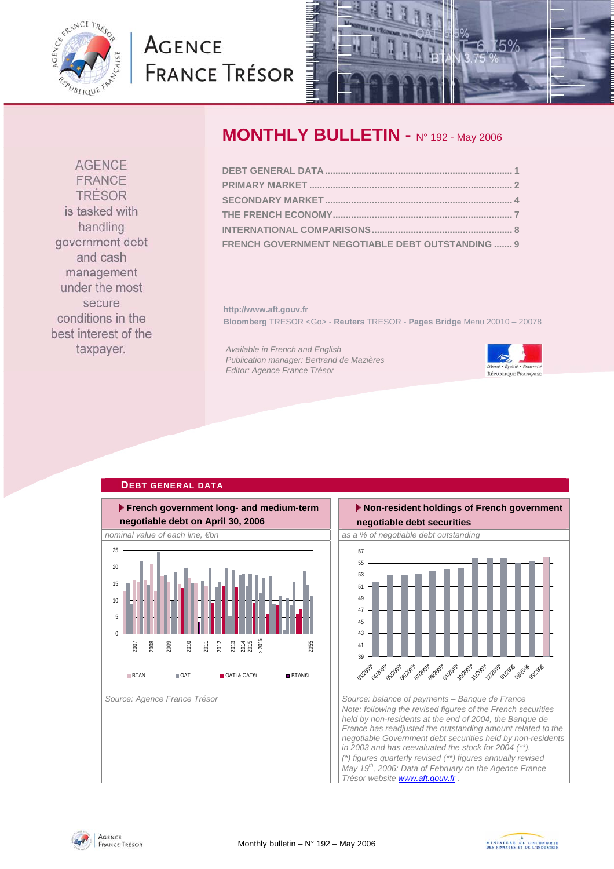

# **AGENCE FRANCE TRÉSOR**



# **MONTHLY BULLETIN - N° 192 - May 2006**

| FRENCH GOVERNMENT NEGOTIABLE DEBT OUTSTANDING  9 |  |
|--------------------------------------------------|--|

**http://www.aft.gouv.fr Bloomberg** TRESOR <Go> - **Reuters** TRESOR - **Pages Bridge** Menu 20010 – 20078

*Available in French and English Publication manager: Bertrand de Mazières Editor: Agence France Trésor* 



### **DEBT GENERAL DATA**







FRANCE TRÉSOR is tasked with handling government debt and cash management under the most secure conditions in the best interest of the taxpayer.

**AGENCE**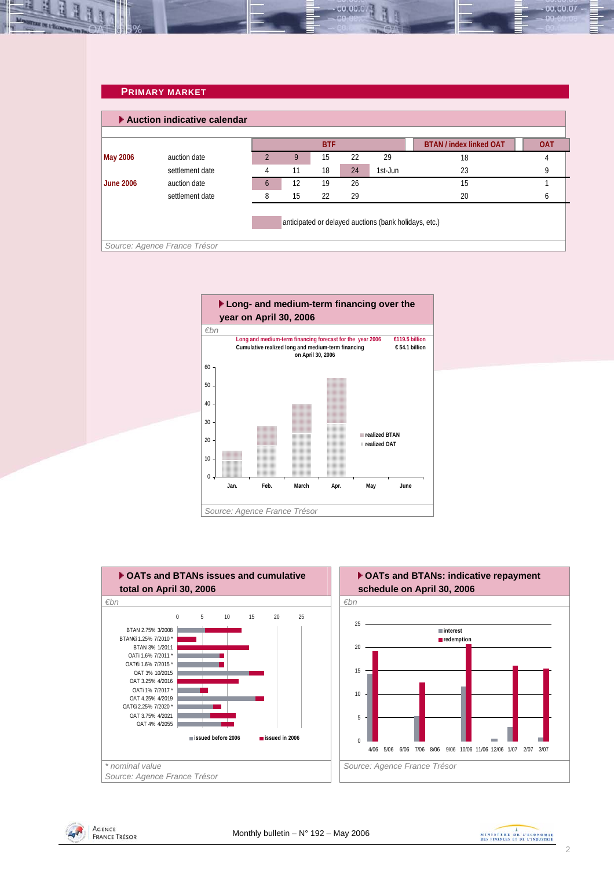### **PRIMARY MARKET**

A,

|                  | Auction indicative calendar  |          |    |            |    |                                                       |                                |            |
|------------------|------------------------------|----------|----|------------|----|-------------------------------------------------------|--------------------------------|------------|
|                  |                              |          |    | <b>BTF</b> |    |                                                       | <b>BTAN / index linked OAT</b> | <b>OAT</b> |
| <b>May 2006</b>  | auction date                 |          | 9  | 15         | 22 | 29                                                    | 18                             | 4          |
|                  | settlement date              |          | 11 | 18         | 24 | 1st-Jun                                               | 23                             |            |
| <b>June 2006</b> | auction date                 | $\sigma$ | 12 | 19         | 26 |                                                       | 15                             |            |
|                  | settlement date              |          | 15 | 22         | 29 |                                                       | 20                             | n          |
|                  |                              |          |    |            |    | anticipated or delayed auctions (bank holidays, etc.) |                                |            |
|                  | Source: Agence France Trésor |          |    |            |    |                                                       |                                |            |

00.00.07







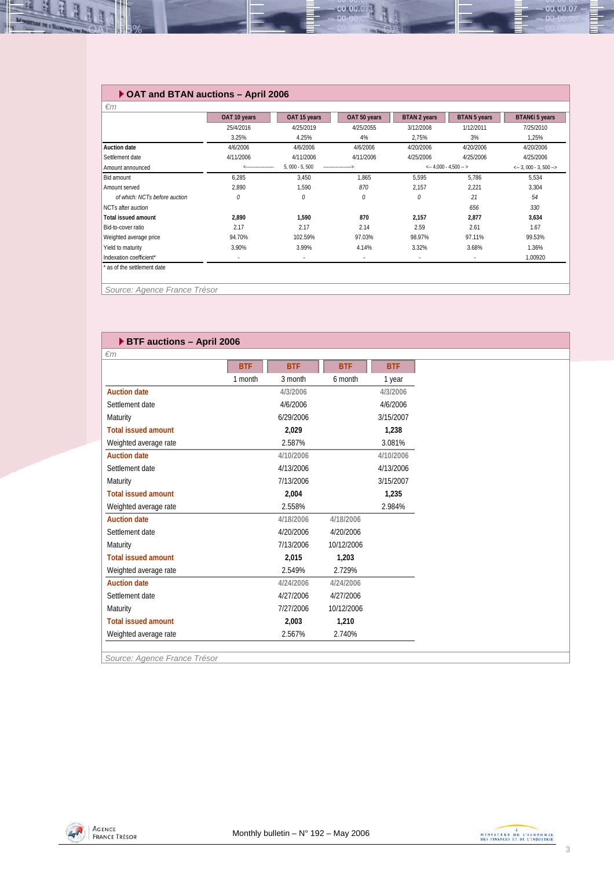## **OAT and BTAN auctions – April 2006**

|                               | OAT 10 years | OAT 15 years    | OAT 50 years | <b>BTAN 2 years</b> | <b>BTAN 5 years</b>                  | BTAN€i 5 years |  |
|-------------------------------|--------------|-----------------|--------------|---------------------|--------------------------------------|----------------|--|
|                               | 25/4/2016    | 4/25/2019       | 4/25/2055    | 3/12/2008           | 1/12/2011                            | 7/25/2010      |  |
|                               | 3.25%        | 4.25%           | 4%           | 2,75%               | 3%                                   | 1,25%          |  |
| <b>Auction date</b>           | 4/6/2006     | 4/6/2006        | 4/6/2006     | 4/20/2006           | 4/20/2006                            | 4/20/2006      |  |
| Settlement date               | 4/11/2006    | 4/11/2006       | 4/11/2006    | 4/25/2006           | 4/25/2006                            | 4/25/2006      |  |
| Amount announced              |              | $5,000 - 5,500$ |              |                     | $\leftarrow 4,000 - 4,500 - \right.$ |                |  |
| Bid amount                    | 6,285        | 3,450           | 1,865        | 5,595               | 5.786                                | 5,534          |  |
| Amount served                 | 2,890        | 1,590           | 870          | 2,157               | 2,221                                | 3,304          |  |
| of which: NCTs before auction | 0            | 0               | 0            | 0                   | 21                                   | 54             |  |
| NCTs after auction            |              |                 |              |                     | 656                                  | 330            |  |
| <b>Total issued amount</b>    | 2,890        | 1,590           | 870          | 2,157               | 2,877                                | 3,634          |  |
| Bid-to-cover ratio            | 2.17         | 2.17            | 2.14         | 2.59                | 2.61                                 | 1.67           |  |
| Weighted average price        | 94.70%       | 102.59%         | 97.03%       | 98.97%              | 97.11%                               | 99.53%         |  |
| Yield to maturity             | 3.90%        | 3.99%           | 4.14%        | 3.32%               | 3.68%                                | 1.36%          |  |
| Indexation coefficient*       | ٠            | $\sim$          | $\sim$       | ٠                   | $\sim$                               | 1,00920        |  |

00.00.07

*Source: Agence France Trésor* 

**He of the Second Party** 

| <b>BTF auctions - April 2006</b> |            |            |            |            |
|----------------------------------|------------|------------|------------|------------|
| $\epsilon$ m                     |            |            |            |            |
|                                  | <b>BTF</b> | <b>BTF</b> | <b>BTF</b> | <b>BTF</b> |
|                                  | 1 month    | 3 month    | 6 month    | 1 year     |
| <b>Auction date</b>              |            | 4/3/2006   |            | 4/3/2006   |
| Settlement date                  |            | 4/6/2006   |            | 4/6/2006   |
| Maturity                         |            | 6/29/2006  |            | 3/15/2007  |
| <b>Total issued amount</b>       |            | 2,029      |            | 1,238      |
| Weighted average rate            |            | 2.587%     |            | 3.081%     |
| <b>Auction date</b>              |            | 4/10/2006  |            | 4/10/2006  |
| Settlement date                  |            | 4/13/2006  |            | 4/13/2006  |
| Maturity                         |            | 7/13/2006  |            | 3/15/2007  |
| <b>Total issued amount</b>       |            | 2,004      |            | 1,235      |
| Weighted average rate            |            | 2.558%     |            | 2.984%     |
| <b>Auction date</b>              |            | 4/18/2006  | 4/18/2006  |            |
| Settlement date                  |            | 4/20/2006  | 4/20/2006  |            |
| Maturity                         |            | 7/13/2006  | 10/12/2006 |            |
| <b>Total issued amount</b>       |            | 2,015      | 1,203      |            |
| Weighted average rate            |            | 2.549%     | 2.729%     |            |
| <b>Auction date</b>              |            | 4/24/2006  | 4/24/2006  |            |
| Settlement date                  |            | 4/27/2006  | 4/27/2006  |            |
| Maturity                         |            | 7/27/2006  | 10/12/2006 |            |
| <b>Total issued amount</b>       |            | 2,003      | 1,210      |            |
| Weighted average rate            |            | 2.567%     | 2.740%     |            |

*Source: Agence France Trésor* 



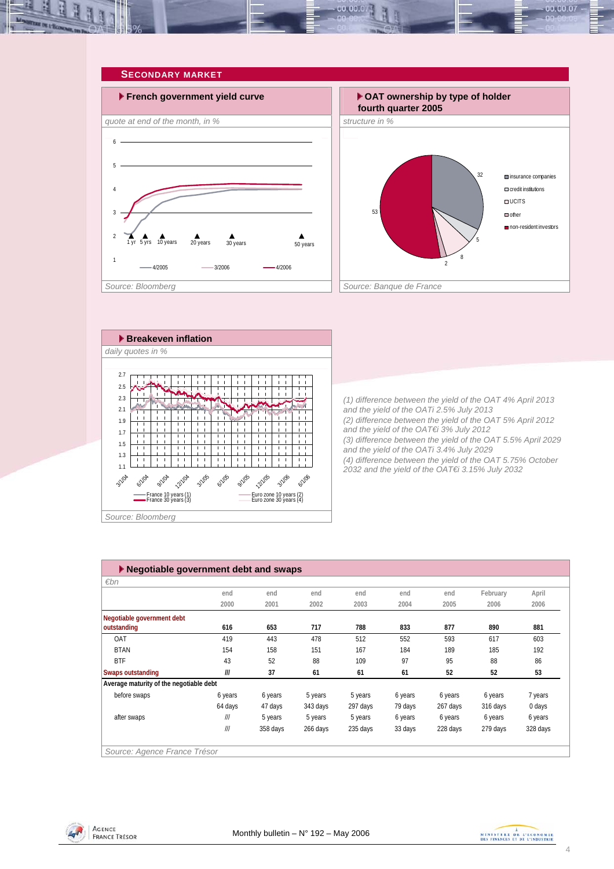



*(1) difference between the yield of the OAT 4% April 2013 and the yield of the OATi 2.5% July 2013 (2) difference between the yield of the OAT 5% April 2012 and the yield of the OAT€i 3% July 2012 (3) difference between the yield of the OAT 5.5% April 2029 and the yield of the OATi 3.4% July 2029 (4) difference between the yield of the OAT 5.75% October 2032 and the yield of the OAT€i 3.15% July 2032* 

32

**Insurance companies** credit institutions  $\Box$  UCITS  $\Box$ other

non-resident investors

5

8 2

| 1.9<br>1.7<br>1.5<br>1.3<br>1.1<br><b>41/06</b><br>3/1/04<br>anos anos anos anos anos anos anos anos<br>France 10 years (1)<br>France 30 years (3)<br>Euro zone 10 years (2)<br>Euro zone 30 years (4) | $\cdot$ $\cdot$ $\cdot$<br>(2) differend<br>and the yiel<br>(3) differend<br>and the yiel<br>(4) differend<br>2032 and th |
|--------------------------------------------------------------------------------------------------------------------------------------------------------------------------------------------------------|---------------------------------------------------------------------------------------------------------------------------|
| Source: Bloomberg                                                                                                                                                                                      |                                                                                                                           |
|                                                                                                                                                                                                        |                                                                                                                           |
| Negotiable government debt and swaps                                                                                                                                                                   |                                                                                                                           |
|                                                                                                                                                                                                        |                                                                                                                           |

| Negotiable government debt and swaps    |         |          |          |          |         |          |          |          |
|-----------------------------------------|---------|----------|----------|----------|---------|----------|----------|----------|
| $\varepsilon$ bn                        |         |          |          |          |         |          |          |          |
|                                         | end     | end      | end      | end      | end     | end      | February | April    |
|                                         | 2000    | 2001     | 2002     | 2003     | 2004    | 2005     | 2006     | 2006     |
| Negotiable government debt              |         |          |          |          |         |          |          |          |
| outstanding                             | 616     | 653      | 717      | 788      | 833     | 877      | 890      | 881      |
| OAT                                     | 419     | 443      | 478      | 512      | 552     | 593      | 617      | 603      |
| <b>BTAN</b>                             | 154     | 158      | 151      | 167      | 184     | 189      | 185      | 192      |
| <b>BTF</b>                              | 43      | 52       | 88       | 109      | 97      | 95       | 88       | 86       |
| Swaps outstanding                       | III     | 37       | 61       | 61       | 61      | 52       | 52       | 53       |
| Average maturity of the negotiable debt |         |          |          |          |         |          |          |          |
| before swaps                            | 6 years | 6 years  | 5 years  | 5 years  | 6 years | 6 years  | 6 years  | 7 years  |
|                                         | 64 days | 47 days  | 343 days | 297 days | 79 days | 267 days | 316 days | 0 days   |
| after swaps                             | III     | 5 years  | 5 years  | 5 years  | 6 years | 6 years  | 6 years  | 6 years  |
|                                         | III     | 358 days | 266 days | 235 days | 33 days | 228 days | 279 days | 328 days |
|                                         |         |          |          |          |         |          |          |          |
| Source: Agence France Trésor            |         |          |          |          |         |          |          |          |



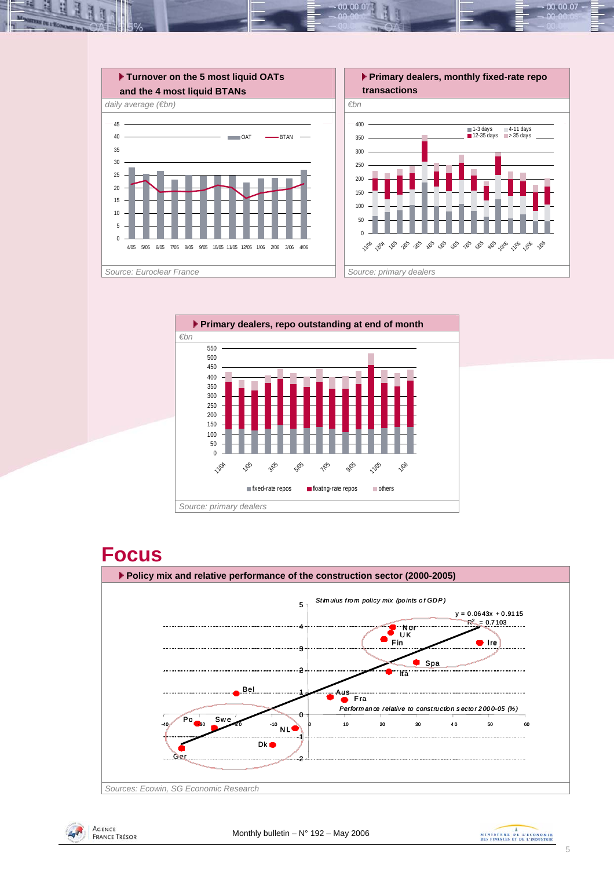

10,00.0



# **Focus**





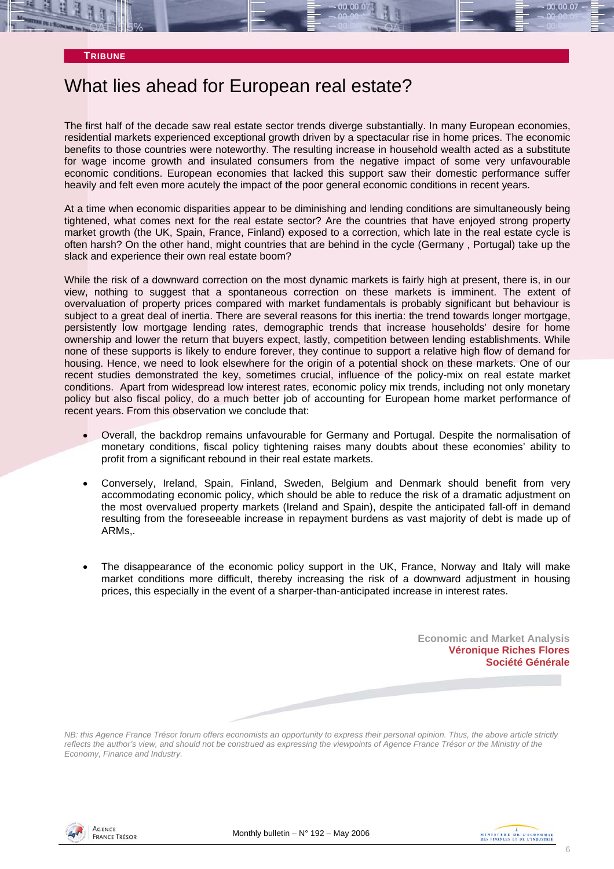#### **TRIBUNE**

# What lies ahead for European real estate?

The first half of the decade saw real estate sector trends diverge substantially. In many European economies, residential markets experienced exceptional growth driven by a spectacular rise in home prices. The economic benefits to those countries were noteworthy. The resulting increase in household wealth acted as a substitute for wage income growth and insulated consumers from the negative impact of some very unfavourable economic conditions. European economies that lacked this support saw their domestic performance suffer heavily and felt even more acutely the impact of the poor general economic conditions in recent years.

At a time when economic disparities appear to be diminishing and lending conditions are simultaneously being tightened, what comes next for the real estate sector? Are the countries that have enjoyed strong property market growth (the UK, Spain, France, Finland) exposed to a correction, which late in the real estate cycle is often harsh? On the other hand, might countries that are behind in the cycle (Germany , Portugal) take up the slack and experience their own real estate boom?

While the risk of a downward correction on the most dynamic markets is fairly high at present, there is, in our view, nothing to suggest that a spontaneous correction on these markets is imminent. The extent of overvaluation of property prices compared with market fundamentals is probably significant but behaviour is subject to a great deal of inertia. There are several reasons for this inertia: the trend towards longer mortgage, persistently low mortgage lending rates, demographic trends that increase households' desire for home ownership and lower the return that buyers expect, lastly, competition between lending establishments. While none of these supports is likely to endure forever, they continue to support a relative high flow of demand for housing. Hence, we need to look elsewhere for the origin of a potential shock on these markets. One of our recent studies demonstrated the key, sometimes crucial, influence of the policy-mix on real estate market conditions. Apart from widespread low interest rates, economic policy mix trends, including not only monetary policy but also fiscal policy, do a much better job of accounting for European home market performance of recent years. From this observation we conclude that:

- Overall, the backdrop remains unfavourable for Germany and Portugal. Despite the normalisation of monetary conditions, fiscal policy tightening raises many doubts about these economies' ability to profit from a significant rebound in their real estate markets.
- Conversely, Ireland, Spain, Finland, Sweden, Belgium and Denmark should benefit from very accommodating economic policy, which should be able to reduce the risk of a dramatic adjustment on the most overvalued property markets (Ireland and Spain), despite the anticipated fall-off in demand resulting from the foreseeable increase in repayment burdens as vast majority of debt is made up of ARMs,.
- The disappearance of the economic policy support in the UK, France, Norway and Italy will make market conditions more difficult, thereby increasing the risk of a downward adjustment in housing prices, this especially in the event of a sharper-than-anticipated increase in interest rates.

**Economic and Market Analysis Véronique Riches Flores Société Générale** 

*NB: this Agence France Trésor forum offers economists an opportunity to express their personal opinion. Thus, the above article strictly reflects the author's view, and should not be construed as expressing the viewpoints of Agence France Trésor or the Ministry of the Economy, Finance and Industry.* 



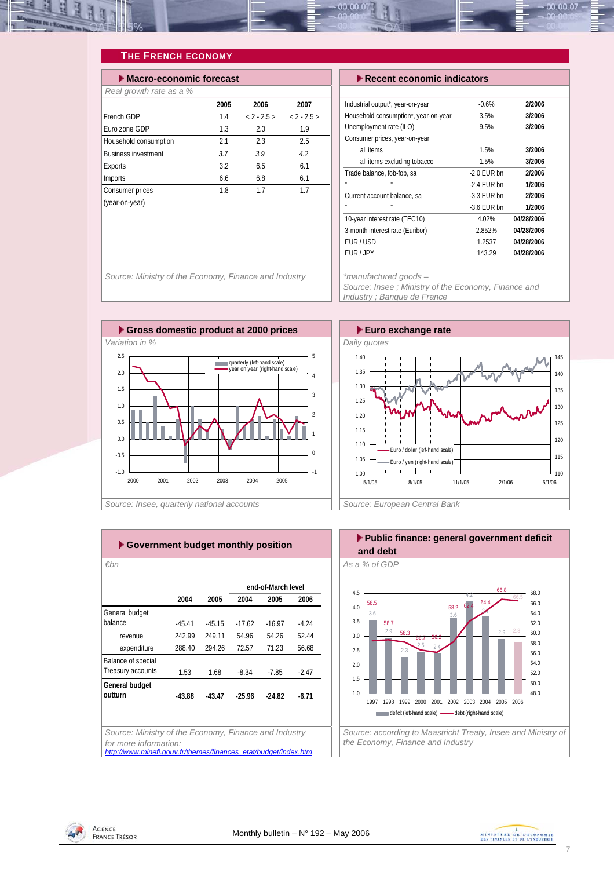

### **THE FRENCH ECONOMY**

| $\blacktriangleright$ Macro-economic forecast |      |          |          |  |  |  |  |  |  |
|-----------------------------------------------|------|----------|----------|--|--|--|--|--|--|
| Real growth rate as a %                       |      |          |          |  |  |  |  |  |  |
|                                               | 2005 | 2006     | 2007     |  |  |  |  |  |  |
| French GDP                                    | 14   | $2 - 25$ | $2 - 25$ |  |  |  |  |  |  |
| Euro zone GDP                                 | 1.3  | 2.0      | 1.9      |  |  |  |  |  |  |
| Household consumption                         | 21   | 23       | 2.5      |  |  |  |  |  |  |
| <b>Business investment</b>                    | 37   | 39       | 42       |  |  |  |  |  |  |
| Exports                                       | 3.2  | 6.5      | 6.1      |  |  |  |  |  |  |
| Imports                                       | 6.6  | 6.8      | 6.1      |  |  |  |  |  |  |
| Consumer prices                               | 1.8  | 17       | 17       |  |  |  |  |  |  |
| (year-on-year)                                |      |          |          |  |  |  |  |  |  |

#### **Execut economic indicators**

| Industrial output*, year-on-year     | $-0.6%$       | 2/2006     |
|--------------------------------------|---------------|------------|
| Household consumption*, year-on-year | 3.5%          | 3/2006     |
| Unemployment rate (ILO)              | 9.5%          | 3/2006     |
| Consumer prices, year-on-year        |               |            |
| all items                            | 1.5%          | 3/2006     |
| all items excluding tobacco          | 1.5%          | 3/2006     |
| Trade balance, fob-fob, sa           | $-2.0$ FUR bn | 2/2006     |
| H.<br>H.                             | $-2.4$ FUR bn | 1/2006     |
| Current account balance, sa          | $-3.3$ FUR bn | 2/2006     |
| H.<br>u.                             | $-3.6$ FUR bn | 1/2006     |
| 10-year interest rate (TEC10)        | 4.02%         | 04/28/2006 |
| 3-month interest rate (Euribor)      | 2.852%        | 04/28/2006 |
| FUR/USD                              | 1.2537        | 04/28/2006 |
| FUR / JPY                            | 143.29        | 04/28/2006 |
|                                      |               |            |

*Source: Ministry of the Economy, Finance and Industry \*manufactured goods –* 



*Source: Insee ; Ministry of the Economy, Finance and Industry ; Banque de France* 





|                    |          |          |          | ▶ Government budget monthly position |         |
|--------------------|----------|----------|----------|--------------------------------------|---------|
| €bn                |          |          |          |                                      |         |
|                    |          |          |          | end-of-March level                   |         |
|                    | 2004     | 2005     | 2004     | 2005                                 | 2006    |
| General budget     |          |          |          |                                      |         |
| balance            | $-45.41$ | $-45.15$ | $-17.62$ | $-16.97$                             | $-4.24$ |
| revenue            | 242.99   | 249.11   | 54.96    | 54.26                                | 52.44   |
| expenditure        | 288.40   | 294.26   | 72.57    | 71.23                                | 56.68   |
| Balance of special |          |          |          |                                      |         |
| Treasury accounts  | 1.53     | 1.68     | $-8.34$  | $-7.85$                              | $-2.47$ |
| General budget     |          |          |          |                                      |         |
| outturn            | $-43.88$ | $-43.47$ | $-25.96$ | $-24.82$                             | $-6.71$ |
|                    |          |          |          |                                      |         |
|                    |          |          |          |                                      |         |

**Public finance: general government deficit and debt**  *€bn As a % of GDP* 



*for more information: http://www.minefi.gouv.fr/themes/finances\_etat/budget/index.htm*



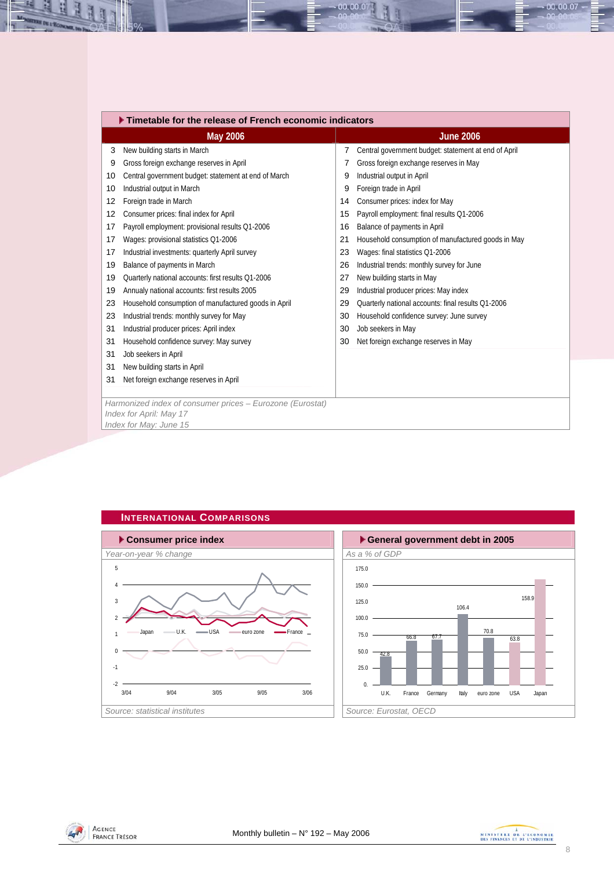|    | Timetable for the release of French economic indicators   |    |                                                      |  |  |  |  |  |
|----|-----------------------------------------------------------|----|------------------------------------------------------|--|--|--|--|--|
|    | <b>May 2006</b>                                           |    | <b>June 2006</b>                                     |  |  |  |  |  |
|    | New building starts in March<br>3                         | 7  | Central government budget: statement at end of April |  |  |  |  |  |
| 9  | Gross foreign exchange reserves in April                  |    | Gross foreign exchange reserves in May               |  |  |  |  |  |
| 10 | Central government budget: statement at end of March      | 9  | Industrial output in April                           |  |  |  |  |  |
| 10 | Industrial output in March                                | 9  | Foreign trade in April                               |  |  |  |  |  |
| 12 | Foreign trade in March                                    | 14 | Consumer prices: index for May                       |  |  |  |  |  |
| 12 | Consumer prices: final index for April                    | 15 | Payroll employment: final results Q1-2006            |  |  |  |  |  |
| 17 | Payroll employment: provisional results Q1-2006           | 16 | Balance of payments in April                         |  |  |  |  |  |
| 17 | Wages: provisional statistics Q1-2006                     | 21 | Household consumption of manufactured goods in May   |  |  |  |  |  |
| 17 | Industrial investments: quarterly April survey            | 23 | Wages: final statistics Q1-2006                      |  |  |  |  |  |
| 19 | Balance of payments in March                              | 26 | Industrial trends: monthly survey for June           |  |  |  |  |  |
| 19 | Quarterly national accounts: first results Q1-2006        | 27 | New building starts in May                           |  |  |  |  |  |
| 19 | Annualy national accounts: first results 2005             | 29 | Industrial producer prices: May index                |  |  |  |  |  |
| 23 | Household consumption of manufactured goods in April      | 29 | Quarterly national accounts: final results Q1-2006   |  |  |  |  |  |
| 23 | Industrial trends: monthly survey for May                 | 30 | Household confidence survey: June survey             |  |  |  |  |  |
| 31 | Industrial producer prices: April index                   | 30 | Job seekers in May                                   |  |  |  |  |  |
| 31 | Household confidence survey: May survey                   | 30 | Net foreign exchange reserves in May                 |  |  |  |  |  |
| 31 | Job seekers in April                                      |    |                                                      |  |  |  |  |  |
| 31 | New building starts in April                              |    |                                                      |  |  |  |  |  |
| 31 | Net foreign exchange reserves in April                    |    |                                                      |  |  |  |  |  |
|    |                                                           |    |                                                      |  |  |  |  |  |
|    | Harmonized index of consumer prices - Eurozone (Eurostat) |    |                                                      |  |  |  |  |  |
|    | Index for April: May 17                                   |    |                                                      |  |  |  |  |  |
|    | Index for May: June 15                                    |    |                                                      |  |  |  |  |  |

00.00.0





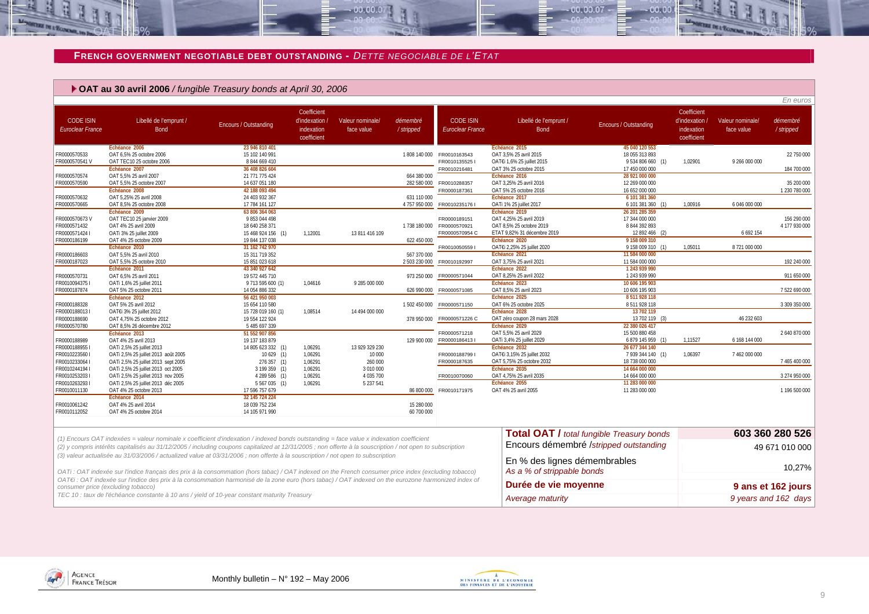#### **FRENCH GOVERNMENT NEGOTIABLE DEBT OUTSTANDING -** *DETTE NEGOCIABLE DE L'ETAT*

 $-00.00.07$ 

#### **OAT au 30 avril 2006** */ fungible Treasury bonds at April 30, 2006*

|                                             |                                                                                                                                                                                            |                                  |                                                            |                                |                          |                                             |                                               |                                                  |                                                            |                                | En euros              |
|---------------------------------------------|--------------------------------------------------------------------------------------------------------------------------------------------------------------------------------------------|----------------------------------|------------------------------------------------------------|--------------------------------|--------------------------|---------------------------------------------|-----------------------------------------------|--------------------------------------------------|------------------------------------------------------------|--------------------------------|-----------------------|
| <b>CODE ISIN</b><br><b>Euroclear France</b> | Libellé de l'emprunt /<br><b>Bond</b>                                                                                                                                                      | Encours / Outstanding            | Coefficient<br>d'indexation /<br>indexation<br>coefficient | Valeur nominale/<br>face value | démembré<br>/stripped    | <b>CODE ISIN</b><br><b>Euroclear France</b> | Libellé de l'emprunt /<br><b>Bond</b>         | Encours / Outstanding                            | Coefficient<br>d'indexation /<br>indexation<br>coefficient | Valeur nominale/<br>face value | démembré<br>/stripped |
|                                             | Echéance 2006                                                                                                                                                                              | 23 946 810 401                   |                                                            |                                |                          |                                             | Echéance 2015                                 | 45 040 120 553                                   |                                                            |                                |                       |
| FR0000570533                                | OAT 6,5% 25 octobre 2006                                                                                                                                                                   | 15 102 140 991                   |                                                            |                                |                          | 1808 140 000 FR0010163543                   | OAT 3,5% 25 avril 2015                        | 18 055 313 893                                   |                                                            |                                | 22 750 000            |
| FR0000570541 V                              | OAT TEC10 25 octobre 2006                                                                                                                                                                  | 8 844 669 410                    |                                                            |                                |                          | FR00101355251                               | OAT€i 1,6% 25 juillet 2015                    | 9 534 806 660 (1)                                | 1,02901                                                    | 9 266 000 000                  |                       |
|                                             | Échéance 2007                                                                                                                                                                              | 36 408 826 604                   |                                                            |                                |                          | FR0010216481                                | OAT 3% 25 octobre 2015                        | 17 450 000 000                                   |                                                            |                                | 184 700 000           |
| FR0000570574                                | OAT 5,5% 25 avril 2007                                                                                                                                                                     | 21 771 775 424                   |                                                            |                                | 664 380 000              |                                             | Échéance 2016                                 | 28 921 000 000                                   |                                                            |                                |                       |
| FR0000570590                                | OAT 5,5% 25 octobre 2007                                                                                                                                                                   | 14 637 051 180                   |                                                            |                                | 282 580 000              | FR0010288357                                | OAT 3,25% 25 avril 2016                       | 12 269 000 000                                   |                                                            |                                | 35 200 000            |
|                                             | Échéance 2008                                                                                                                                                                              | 42 188 093 494                   |                                                            |                                |                          | FR0000187361                                | OAT 5% 25 octobre 2016                        | 16 652 000 000                                   |                                                            |                                | 1 230 780 000         |
| FR0000570632                                | OAT 5.25% 25 avril 2008                                                                                                                                                                    | 24 403 932 367                   |                                                            |                                | 631 110 000              |                                             | Échéance 2017                                 | 6 101 381 360                                    |                                                            |                                |                       |
| FR0000570665                                | OAT 8,5% 25 octobre 2008                                                                                                                                                                   | 17 784 161 127                   |                                                            |                                | 4 757 950 000            | FR00102351761                               | OATi 1% 25 juillet 2017                       | 6 101 381 360 (1)                                | 1,00916                                                    | 6 046 000 000                  |                       |
|                                             | Échéance 2009                                                                                                                                                                              | 63 806 364 063                   |                                                            |                                |                          |                                             | Échéance 2019                                 | 26 201 285 359                                   |                                                            |                                |                       |
| FR0000570673V                               | OAT TEC10 25 janvier 2009                                                                                                                                                                  | 9 853 044 498                    |                                                            |                                |                          | FR0000189151                                | OAT 4,25% 25 avril 2019                       | 17 344 000 000                                   |                                                            |                                | 156 290 000           |
| FR0000571432                                | OAT 4% 25 avril 2009                                                                                                                                                                       | 18 640 258 371                   |                                                            |                                |                          | 1 738 180 000 FR0000570921                  | OAT 8,5% 25 octobre 2019                      | 8 844 392 893                                    |                                                            |                                | 4 177 930 000         |
| FR0000571424 I                              | OATi 3% 25 juillet 2009                                                                                                                                                                    | 15 468 924 156 (1)               | 1,12001                                                    | 13 811 416 109                 |                          | FR0000570954 C                              | ETAT 9.82% 31 décembre 2019                   | 12 892 466 (2)                                   |                                                            | 6 692 154                      |                       |
| FR0000186199                                | OAT 4% 25 octobre 2009                                                                                                                                                                     | 19 844 137 038                   |                                                            |                                | 622 450 000              |                                             | Échéance 2020                                 | 9 158 009 310                                    |                                                            |                                |                       |
|                                             | Échéance 2010                                                                                                                                                                              | 31 162 742 970                   |                                                            |                                |                          | FR0010050559 I                              | OAT€i 2,25% 25 juillet 2020                   | 9 158 009 310 (1)                                | 1,05011                                                    | 8 721 000 000                  |                       |
| FR0000186603                                | OAT 5,5% 25 avril 2010                                                                                                                                                                     | 15 311 719 352                   |                                                            |                                | 567 370 000              |                                             | Échéance 2021                                 | 11 584 000 000                                   |                                                            |                                |                       |
| FR0000187023                                | OAT 5,5% 25 octobre 2010                                                                                                                                                                   | 15 851 023 618                   |                                                            |                                | 2 503 230 000            | FR0010192997                                | OAT 3,75% 25 avril 2021                       | 11 584 000 000                                   |                                                            |                                | 192 240 000           |
|                                             | Échéance 2011                                                                                                                                                                              | 43 340 927 642                   |                                                            |                                |                          |                                             | Échéance 2022                                 | 1243 939 990                                     |                                                            |                                |                       |
| FR0000570731                                | OAT 6,5% 25 avril 2011                                                                                                                                                                     | 19 572 445 710                   |                                                            |                                |                          | 973 250 000 FR0000571044                    | OAT 8,25% 25 avril 2022                       | 1 243 939 990                                    |                                                            |                                | 911 650 000           |
| FR00100943751                               | OATi 1,6% 25 juillet 2011                                                                                                                                                                  | 9 713 595 600 (1)                | 1,04616                                                    | 9 285 000 000                  |                          |                                             | Échéance 2023                                 | 10 606 195 903                                   |                                                            |                                |                       |
| FR0000187874                                | OAT 5% 25 octobre 2011                                                                                                                                                                     | 14 054 886 332                   |                                                            |                                | 626 990 000              | FR0000571085                                | OAT 8,5% 25 avril 2023                        | 10 606 195 903                                   |                                                            |                                | 7 522 690 000         |
|                                             | Échéance 2012                                                                                                                                                                              | 56 421 950 003                   |                                                            |                                |                          |                                             | Échéance 2025                                 | 8 511 928 118<br>8 511 928 118                   |                                                            |                                |                       |
| FR0000188328                                | OAT 5% 25 avril 2012                                                                                                                                                                       | 15 654 110 580                   |                                                            |                                | 1 502 450 000            | FR0000571150                                | OAT 6% 25 octobre 2025                        |                                                  |                                                            |                                | 3 309 350 000         |
| FR0000188013 I                              | OAT€i 3% 25 juillet 2012                                                                                                                                                                   | 15 728 019 160 (1)               | 1,08514                                                    | 14 494 000 000                 |                          |                                             | Échéance 2028<br>OAT zéro coupon 28 mars 2028 | 13 702 119<br>13 702 119 (3)                     |                                                            | 46 232 603                     |                       |
| FR0000188690<br>FR0000570780                | OAT 4,75% 25 octobre 2012<br>OAT 8,5% 26 décembre 2012                                                                                                                                     | 19 554 122 924<br>5 485 697 339  |                                                            |                                | 378 950 000              | FR0000571226 C                              | Échéance 2029                                 | 22 380 026 417                                   |                                                            |                                |                       |
|                                             | Échéance 2013                                                                                                                                                                              | 51 552 907 856                   |                                                            |                                |                          | FR0000571218                                | OAT 5,5% 25 avril 2029                        | 15 500 880 458                                   |                                                            |                                | 2640870000            |
| FR0000188989                                | OAT 4% 25 avril 2013                                                                                                                                                                       | 19 137 183 879                   |                                                            |                                | 129 900 000              | FR00001864131                               | OATi 3.4% 25 juillet 2029                     | 6 879 145 959 (1)                                | 1.11527                                                    | 6 168 144 000                  |                       |
| FR00001889551                               |                                                                                                                                                                                            |                                  | 1,06291                                                    | 13 929 329 230                 |                          |                                             | Échéance 2032                                 | 26 677 344 140                                   |                                                            |                                |                       |
| FR0010223560 I                              | OATi 2,5% 25 juillet 2013<br>OATi 2,5% 25 juillet 2013 août 2005                                                                                                                           | 14 805 623 332 (1)<br>10629(1)   | 1,06291                                                    | 10 000                         |                          | FR00001887991                               | OATEi 3,15% 25 juillet 2032                   | 7 939 344 140 (1)                                | 1,06397                                                    | 7 462 000 000                  |                       |
| FR00102330641                               | OATi 2,5% 25 juillet 2013 sept 2005                                                                                                                                                        | 276 357 (1)                      | 1.06291                                                    | 260 000                        |                          | FR0000187635                                | OAT 5,75% 25 octobre 2032                     | 18 738 000 000                                   |                                                            |                                | 7 465 400 000         |
| FR00102441941                               | OATi 2,5% 25 juillet 2013 oct 2005                                                                                                                                                         | 3 199 359 (1)                    | 1,06291                                                    | 3 010 000                      |                          |                                             | Échéance 2035                                 | 14 664 000 000                                   |                                                            |                                |                       |
| FR00102532031                               | OATi 2,5% 25 juillet 2013 nov 2005                                                                                                                                                         | 4 289 586 (1)                    | 1,06291                                                    | 4 035 700                      |                          | FR0010070060                                | OAT 4.75% 25 avril 2035                       | 14 664 000 000                                   |                                                            |                                | 3 274 950 000         |
| FR00102632931                               | OATi 2,5% 25 juillet 2013 déc 2005                                                                                                                                                         | 5 5 6 7 0 3 5 (1)                | 1,06291                                                    | 5 237 541                      |                          |                                             | Échéance 2055                                 | 11 283 000 000                                   |                                                            |                                |                       |
| FR0010011130                                | OAT 4% 25 octobre 2013                                                                                                                                                                     | 17 596 757 679                   |                                                            |                                | 86 800 000               | FR0010171975                                | OAT 4% 25 avril 2055                          | 11 283 000 000                                   |                                                            |                                | 1 196 500 000         |
|                                             | Échéance 2014                                                                                                                                                                              | 32 145 724 224                   |                                                            |                                |                          |                                             |                                               |                                                  |                                                            |                                |                       |
| FR0010061242<br>FR0010112052                | OAT 4% 25 avril 2014<br>OAT 4% 25 octobre 2014                                                                                                                                             | 18 039 752 234<br>14 105 971 990 |                                                            |                                | 15 280 000<br>60 700 000 |                                             |                                               |                                                  |                                                            |                                |                       |
|                                             | (1) Encours OAT indexées = valeur nominale x coefficient d'indexation / indexed bonds outstanding = face value x indexation coefficient                                                    |                                  |                                                            |                                |                          |                                             |                                               | <b>Total OAT / total fungible Treasury bonds</b> |                                                            |                                | 603 360 280 526       |
|                                             | (2) y compris intérêts capitalisés au 31/12/2005 / including coupons capitalized at 12/31/2005; non offerte à la souscription / not open to subscription                                   |                                  |                                                            |                                |                          |                                             |                                               | Encours démembré /stripped outstanding           |                                                            |                                | 49 671 010 000        |
|                                             | (3) valeur actualisée au 31/03/2006 / actualized value at 03/31/2006 ; non offerte à la souscription / not open to subscription                                                            |                                  |                                                            |                                |                          |                                             | En % des lignes démembrables                  |                                                  |                                                            |                                |                       |
|                                             |                                                                                                                                                                                            |                                  |                                                            |                                |                          |                                             |                                               |                                                  |                                                            |                                | 10,27%                |
|                                             | OATi: OAT indexée sur l'indice français des prix à la consommation (hors tabac) / OAT indexed on the French consumer price index (excluding tobacco)                                       |                                  |                                                            |                                |                          |                                             | As a % of strippable bonds                    |                                                  |                                                            |                                |                       |
|                                             | OAT€i : OAT indexée sur l'indice des prix à la consommation harmonisé de la zone euro (hors tabac) / OAT indexed on the eurozone harmonized index of<br>consumer price (excluding tobacco) |                                  |                                                            |                                |                          |                                             | Durée de vie moyenne                          |                                                  |                                                            |                                | 9 ans et 162 jours    |
|                                             | TEC 10 : taux de l'échéance constante à 10 ans / yield of 10-year constant maturity Treasury                                                                                               |                                  |                                                            |                                |                          |                                             | Average maturity                              |                                                  |                                                            |                                | 9 years and 162 days  |



**DE L'ÉCON**